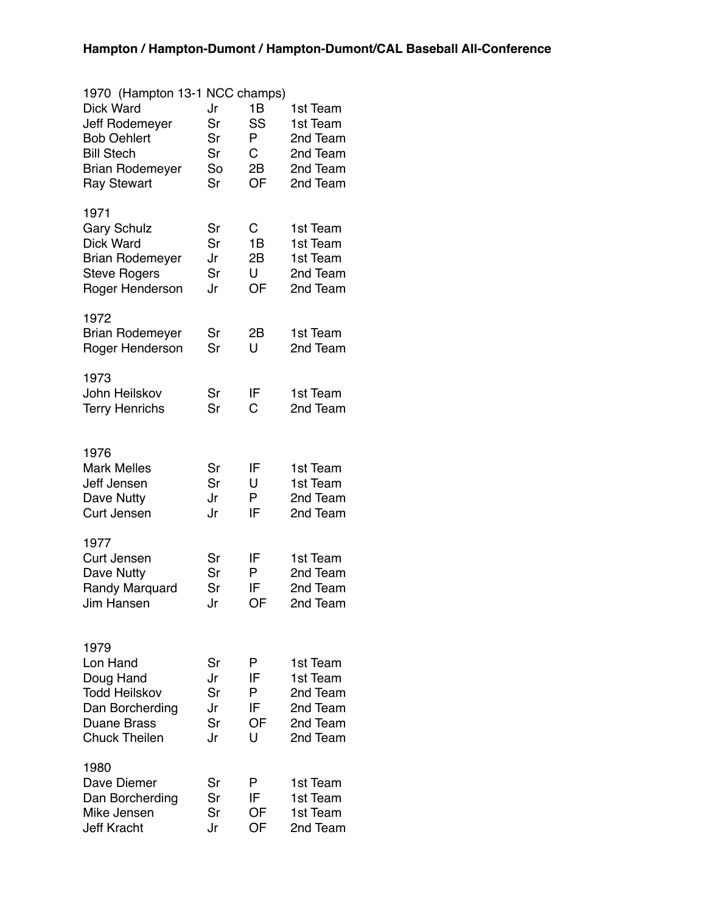| 1970 (Hampton 13-1 NCC champs)<br>Dick Ward<br>Jeff Rodemeyer<br><b>Bob Oehlert</b><br><b>Bill Stech</b><br><b>Brian Rodemeyer</b><br><b>Ray Stewart</b> | Jr<br>Sr<br>Sr<br>Sr<br>So<br>Sr | 1B<br>SS<br>Ρ<br>С<br>2B<br>OF | 1st Team<br>1st Team<br>2nd Team<br>2nd Team<br>2nd Team<br>2nd Team |
|----------------------------------------------------------------------------------------------------------------------------------------------------------|----------------------------------|--------------------------------|----------------------------------------------------------------------|
| 1971<br><b>Gary Schulz</b><br>Dick Ward<br><b>Brian Rodemeyer</b><br><b>Steve Rogers</b><br>Roger Henderson                                              | Sr<br>Sr<br>Jr<br>Sr<br>Jr       | C<br>1B<br>2B<br>U<br>OF       | 1st Team<br>1st Team<br>1st Team<br>2nd Team<br>2nd Team             |
| 1972<br><b>Brian Rodemeyer</b><br>Roger Henderson                                                                                                        | Sr<br>Sr                         | 2B<br>U                        | 1st Team<br>2nd Team                                                 |
| 1973<br>John Heilskov<br><b>Terry Henrichs</b>                                                                                                           | Sr<br>Sr                         | IF<br>С                        | 1st Team<br>2nd Team                                                 |
| 1976<br><b>Mark Melles</b><br>Jeff Jensen<br>Dave Nutty<br><b>Curt Jensen</b>                                                                            | Sr<br>Sr<br>Jr<br>Jr             | IF<br>U<br>P<br>IF             | 1st Team<br>1st Team<br>2nd Team<br>2nd Team                         |
| 1977<br><b>Curt Jensen</b><br>Dave Nutty<br>Randy Marquard<br>Jim Hansen                                                                                 | Sr<br>Sr<br>Sr<br>Jr             | IF<br>P<br>IF<br>OF            | 1st Team<br>2nd Team<br>2nd Team<br>2nd Team                         |
| 1979<br>Lon Hand<br>Doug Hand<br><b>Todd Heilskov</b><br>Dan Borcherding<br><b>Duane Brass</b><br><b>Chuck Theilen</b>                                   | Sr<br>Jr<br>Sr<br>Jr<br>Sr<br>Jr | P<br>IF<br>P<br>IF<br>OF<br>U  | 1st Team<br>1st Team<br>2nd Team<br>2nd Team<br>2nd Team<br>2nd Team |
| 1980<br>Dave Diemer<br>Dan Borcherding<br>Mike Jensen<br><b>Jeff Kracht</b>                                                                              | Sr<br>Sr<br>Sr<br>Jr             | P<br>IF<br>OF<br>OF            | 1st Team<br>1st Team<br>1st Team<br>2nd Team                         |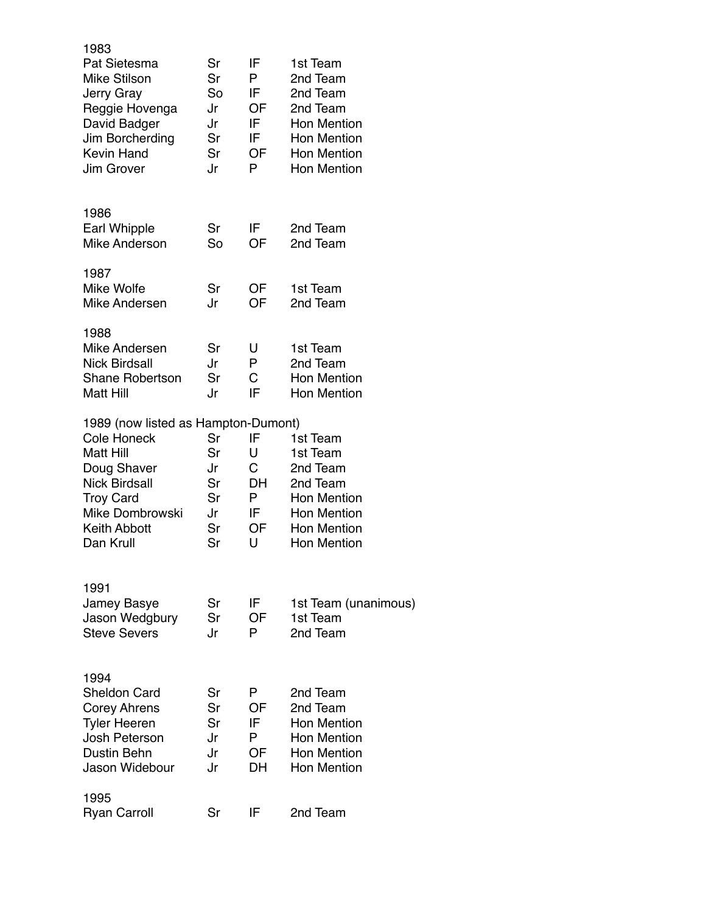| 1983<br>Pat Sietesma<br><b>Mike Stilson</b><br>Jerry Gray<br>Reggie Hovenga<br>David Badger<br>Jim Borcherding<br><b>Kevin Hand</b><br>Jim Grover                                               | Sr<br>Sr<br>So<br>Jr<br>Jr<br>Sr<br>Sr<br>Jr | IF<br>P<br>IF<br><b>OF</b><br>IF<br>IF<br>OF<br>P | 1st Team<br>2nd Team<br>2nd Team<br>2nd Team<br><b>Hon Mention</b><br><b>Hon Mention</b><br><b>Hon Mention</b><br><b>Hon Mention</b> |
|-------------------------------------------------------------------------------------------------------------------------------------------------------------------------------------------------|----------------------------------------------|---------------------------------------------------|--------------------------------------------------------------------------------------------------------------------------------------|
| 1986<br>Earl Whipple<br><b>Mike Anderson</b>                                                                                                                                                    | Sr<br>So                                     | IF.<br>OF                                         | 2nd Team<br>2nd Team                                                                                                                 |
| 1987<br>Mike Wolfe<br>Mike Andersen                                                                                                                                                             | Sr<br>Jr                                     | OF<br>OF                                          | 1st Team<br>2nd Team                                                                                                                 |
| 1988<br>Mike Andersen<br><b>Nick Birdsall</b><br><b>Shane Robertson</b><br>Matt Hill                                                                                                            | Sr<br>Jr<br>Sr<br>Jr                         | U<br>P<br>C<br>IF                                 | 1st Team<br>2nd Team<br><b>Hon Mention</b><br><b>Hon Mention</b>                                                                     |
| 1989 (now listed as Hampton-Dumont)<br><b>Cole Honeck</b><br>Matt Hill<br>Doug Shaver<br><b>Nick Birdsall</b><br><b>Troy Card</b><br><b>Mike Dombrowski</b><br><b>Keith Abbott</b><br>Dan Krull | Sr<br>Sr<br>Jr<br>Sr<br>Sr<br>Jr<br>Sr<br>Sr | IF<br>U<br>C<br>DH<br>P<br>IF<br>OF<br>U          | 1st Team<br>1st Team<br>2nd Team<br>2nd Team<br><b>Hon Mention</b><br><b>Hon Mention</b><br><b>Hon Mention</b><br><b>Hon Mention</b> |
| 1991<br>Jamey Basye<br>Jason Wedgbury<br><b>Steve Severs</b>                                                                                                                                    | Sr<br>Sr<br>Jr                               | IF<br>OF<br>P                                     | 1st Team (unanimous)<br>1st Team<br>2nd Team                                                                                         |
| 1994<br><b>Sheldon Card</b><br><b>Corey Ahrens</b><br><b>Tyler Heeren</b><br>Josh Peterson<br>Dustin Behn<br>Jason Widebour                                                                     | Sr<br>Sr<br>Sr<br>Jr<br>Jr<br>Jr             | P<br>OF<br>IF<br>P<br>OF<br>DН                    | 2nd Team<br>2nd Team<br><b>Hon Mention</b><br><b>Hon Mention</b><br><b>Hon Mention</b><br><b>Hon Mention</b>                         |
| 1995<br><b>Ryan Carroll</b>                                                                                                                                                                     | Sr                                           | IF                                                | 2nd Team                                                                                                                             |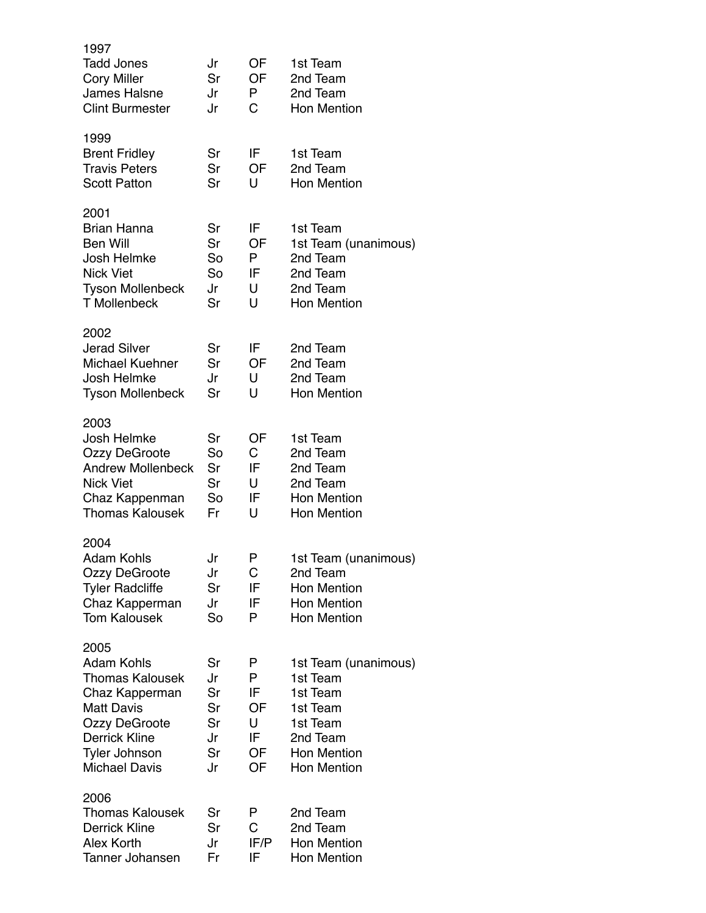| 1997<br><b>Tadd Jones</b><br><b>Cory Miller</b><br><b>James Halsne</b><br><b>Clint Burmester</b>                                                                                           | Jr<br>Sr<br>Jr<br>Jr                         | OF<br>OF<br>P<br>С                        | 1st Team<br>2nd Team<br>2nd Team<br><b>Hon Mention</b>                                                                       |
|--------------------------------------------------------------------------------------------------------------------------------------------------------------------------------------------|----------------------------------------------|-------------------------------------------|------------------------------------------------------------------------------------------------------------------------------|
| 1999<br><b>Brent Fridley</b><br><b>Travis Peters</b><br><b>Scott Patton</b>                                                                                                                | Sr<br>Sr<br>Sr                               | IF<br>OF<br>U                             | 1st Team<br>2nd Team<br><b>Hon Mention</b>                                                                                   |
| 2001<br><b>Brian Hanna</b><br>Ben Will<br>Josh Helmke<br><b>Nick Viet</b><br><b>Tyson Mollenbeck</b><br><b>T</b> Mollenbeck                                                                | Sr<br>Sr<br>So<br>So<br>Jr<br>Sr             | IF<br>OF<br>P<br>IF<br>U<br>U             | 1st Team<br>1st Team (unanimous)<br>2nd Team<br>2nd Team<br>2nd Team<br><b>Hon Mention</b>                                   |
| 2002<br><b>Jerad Silver</b><br><b>Michael Kuehner</b><br>Josh Helmke<br><b>Tyson Mollenbeck</b>                                                                                            | Sr<br>Sr<br>Jr<br>Sr                         | IF<br>OF<br>U<br>U                        | 2nd Team<br>2nd Team<br>2nd Team<br><b>Hon Mention</b>                                                                       |
| 2003<br>Josh Helmke<br><b>Ozzy DeGroote</b><br><b>Andrew Mollenbeck</b><br><b>Nick Viet</b><br>Chaz Kappenman<br><b>Thomas Kalousek</b>                                                    | Sr<br>So<br>Sr<br>Sr<br>So<br>Fr             | OF<br>C<br>IF<br>U<br>IF<br>U             | 1st Team<br>2nd Team<br>2nd Team<br>2nd Team<br><b>Hon Mention</b><br><b>Hon Mention</b>                                     |
| 2004<br><b>Adam Kohls</b><br>Ozzy DeGroote<br><b>Tyler Radcliffe</b><br>Chaz Kapperman<br><b>Tom Kalousek</b>                                                                              | Jr<br>Jr<br>Sr<br>Jr<br>So                   | P<br>С<br>IF<br>IF<br>P                   | 1st Team (unanimous)<br>2nd Team<br><b>Hon Mention</b><br><b>Hon Mention</b><br><b>Hon Mention</b>                           |
| 2005<br><b>Adam Kohls</b><br><b>Thomas Kalousek</b><br>Chaz Kapperman<br><b>Matt Davis</b><br><b>Ozzy DeGroote</b><br><b>Derrick Kline</b><br><b>Tyler Johnson</b><br><b>Michael Davis</b> | Sr<br>Jr<br>Sr<br>Sr<br>Sr<br>Jr<br>Sr<br>Jr | P<br>P<br>IF<br>OF<br>U<br>IF<br>OF<br>OF | 1st Team (unanimous)<br>1st Team<br>1st Team<br>1st Team<br>1st Team<br>2nd Team<br><b>Hon Mention</b><br><b>Hon Mention</b> |
| 2006<br><b>Thomas Kalousek</b><br><b>Derrick Kline</b><br>Alex Korth<br>Tanner Johansen                                                                                                    | Sr<br>Sr<br>Jr<br>Fr                         | P<br>С<br>IF/P<br>IF                      | 2nd Team<br>2nd Team<br><b>Hon Mention</b><br><b>Hon Mention</b>                                                             |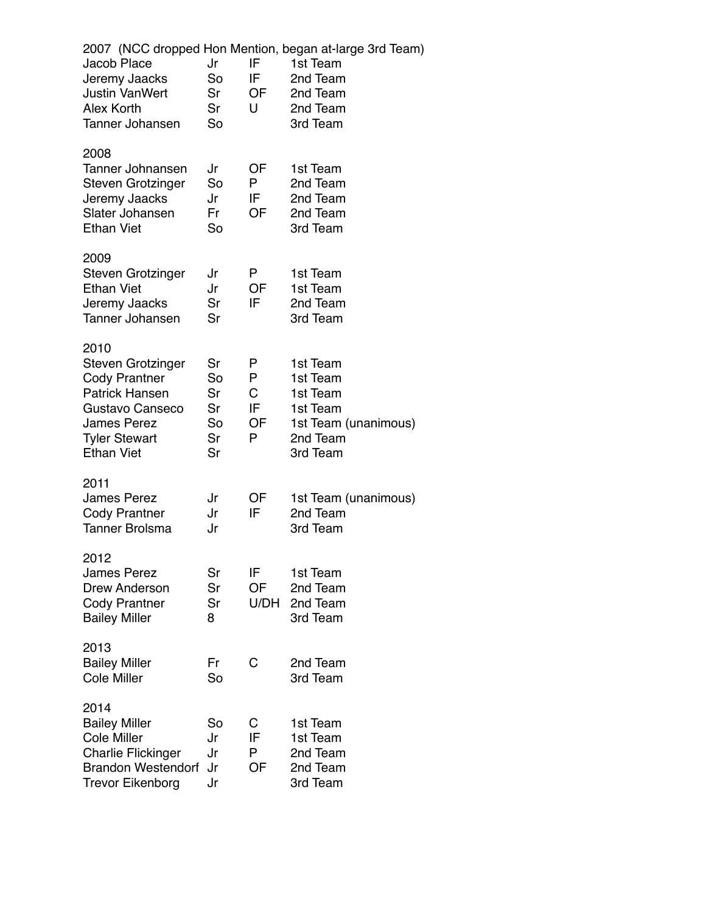| Jacob Place<br>Jeremy Jaacks<br><b>Justin VanWert</b><br>Alex Korth<br><b>Tanner Johansen</b>                                                                    | Jr<br>So<br>Sr<br>Sr<br>So             | IF<br>IF<br>OF<br>U          | 2007 (NCC dropped Hon Mention, began at-large 3rd Team)<br>1st Team<br>2nd Team<br>2nd Team<br>2nd Team<br>3rd Team |
|------------------------------------------------------------------------------------------------------------------------------------------------------------------|----------------------------------------|------------------------------|---------------------------------------------------------------------------------------------------------------------|
| 2008<br>Tanner Johnansen<br><b>Steven Grotzinger</b><br>Jeremy Jaacks<br>Slater Johansen<br><b>Ethan Viet</b>                                                    | Jr<br>So<br>Jr<br>Fr<br>So             | OF<br>P<br>IF<br>OF          | 1st Team<br>2nd Team<br>2nd Team<br>2nd Team<br>3rd Team                                                            |
| 2009<br><b>Steven Grotzinger</b><br><b>Ethan Viet</b><br>Jeremy Jaacks<br><b>Tanner Johansen</b>                                                                 | Jr<br>Jr<br>Sr<br>Sr                   | P<br>OF<br>IF                | 1st Team<br>1st Team<br>2nd Team<br>3rd Team                                                                        |
| 2010<br><b>Steven Grotzinger</b><br><b>Cody Prantner</b><br><b>Patrick Hansen</b><br>Gustavo Canseco<br>James Perez<br><b>Tyler Stewart</b><br><b>Ethan Viet</b> | Sr<br>So<br>Sr<br>Sr<br>So<br>Sr<br>Sr | P<br>P<br>C<br>IF<br>OF<br>P | 1st Team<br>1st Team<br>1st Team<br>1st Team<br>1st Team (unanimous)<br>2nd Team<br>3rd Team                        |
| 2011<br><b>James Perez</b><br><b>Cody Prantner</b><br><b>Tanner Brolsma</b>                                                                                      | Jr<br>Jr<br>Jr                         | OF<br>IF                     | 1st Team (unanimous)<br>2nd Team<br>3rd Team                                                                        |
| 2012<br><b>James Perez</b><br><b>Drew Anderson</b><br><b>Cody Prantner</b><br><b>Bailey Miller</b>                                                               | Sr<br>Sr<br>Sr<br>8                    | IF<br><b>OF</b><br>U/DH      | 1st Team<br>2nd Team<br>2nd Team<br>3rd Team                                                                        |
| 2013<br><b>Bailey Miller</b><br><b>Cole Miller</b>                                                                                                               | Fr<br>So                               | С                            | 2nd Team<br>3rd Team                                                                                                |
| 2014<br><b>Bailey Miller</b><br><b>Cole Miller</b><br><b>Charlie Flickinger</b><br><b>Brandon Westendorf</b><br><b>Trevor Eikenborg</b>                          | So<br>Jr<br>Jr<br>Jr<br>Jr             | С<br>IF<br>P<br>OF           | 1st Team<br>1st Team<br>2nd Team<br>2nd Team<br>3rd Team                                                            |